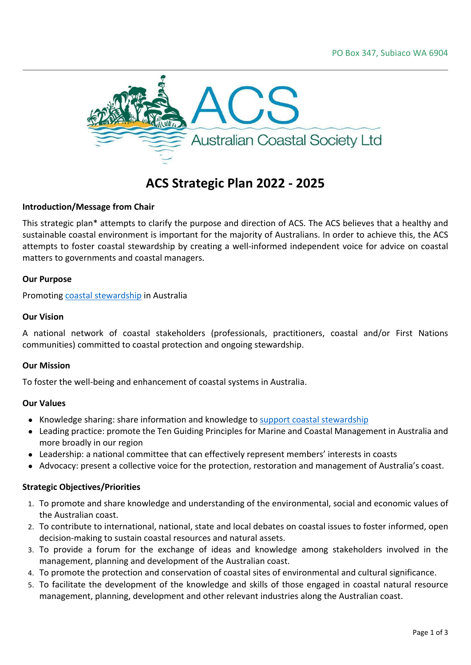

# **ACS Strategic Plan 2022 - 2025**

# **Introduction/Message from Chair**

This strategic plan\* attempts to clarify the purpose and direction of ACS. The ACS believes that a healthy and sustainable coastal environment is important for the majority of Australians. In order to achieve this, the ACS attempts to foster coastal stewardship by creating a well-informed independent voice for advice on coastal matters to governments and coastal managers.

## **Our Purpose**

Promoting coastal [stewardship](https://www.futureearth.org.au/initiatives/ocean-and-coastal-sustainability) in Australia

#### **Our Vision**

A national network of coastal stakeholders (professionals, practitioners, coastal and/or First Nations communities) committed to coastal protection and ongoing stewardship.

#### **Our Mission**

To foster the well-being and enhancement of coastal systems in Australia.

#### **Our Values**

- Knowledge sharing: share information and knowledge to support coastal [stewardship](https://www.futureearth.org.au/initiatives/ocean-and-coastal-sustainability)
- Leading practice: promote the Ten Guiding Principles for Marine and Coastal Management in Australia and more broadly in our region
- Leadership: a national committee that can effectively represent members' interests in coasts
- Advocacy: present a collective voice for the protection, restoration and management of Australia's coast.

## **Strategic Objectives/Priorities**

- 1. To promote and share knowledge and understanding of the environmental, social and economic values of the Australian coast.
- 2. To contribute to international, national, state and local debates on coastal issues to foster informed, open decision-making to sustain coastal resources and natural assets.
- 3. To provide a forum for the exchange of ideas and knowledge among stakeholders involved in the management, planning and development of the Australian coast.
- 4. To promote the protection and conservation of coastal sites of environmental and cultural significance.
- 5. To facilitate the development of the knowledge and skills of those engaged in coastal natural resource management, planning, development and other relevant industries along the Australian coast.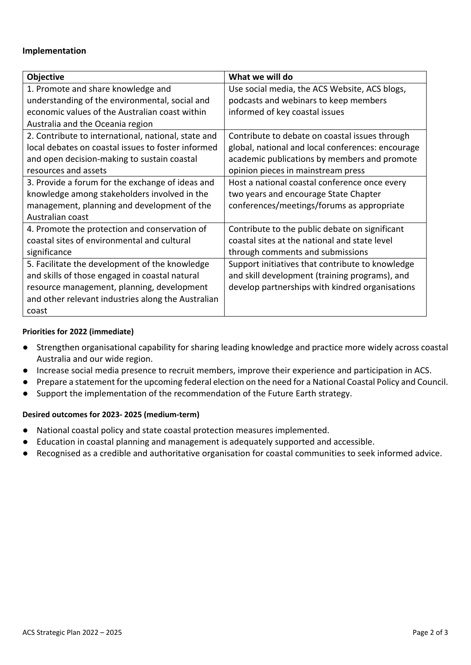# **Implementation**

| <b>Objective</b>                                    | What we will do                                   |
|-----------------------------------------------------|---------------------------------------------------|
| 1. Promote and share knowledge and                  | Use social media, the ACS Website, ACS blogs,     |
| understanding of the environmental, social and      | podcasts and webinars to keep members             |
| economic values of the Australian coast within      | informed of key coastal issues                    |
| Australia and the Oceania region                    |                                                   |
| 2. Contribute to international, national, state and | Contribute to debate on coastal issues through    |
| local debates on coastal issues to foster informed  | global, national and local conferences: encourage |
| and open decision-making to sustain coastal         | academic publications by members and promote      |
| resources and assets                                | opinion pieces in mainstream press                |
| 3. Provide a forum for the exchange of ideas and    | Host a national coastal conference once every     |
| knowledge among stakeholders involved in the        | two years and encourage State Chapter             |
| management, planning and development of the         | conferences/meetings/forums as appropriate        |
| Australian coast                                    |                                                   |
| 4. Promote the protection and conservation of       | Contribute to the public debate on significant    |
| coastal sites of environmental and cultural         | coastal sites at the national and state level     |
| significance                                        | through comments and submissions                  |
| 5. Facilitate the development of the knowledge      | Support initiatives that contribute to knowledge  |
| and skills of those engaged in coastal natural      | and skill development (training programs), and    |
| resource management, planning, development          | develop partnerships with kindred organisations   |
| and other relevant industries along the Australian  |                                                   |
| coast                                               |                                                   |

## **Priorities for 2022 (immediate)**

- Strengthen organisational capability for sharing leading knowledge and practice more widely across coastal Australia and our wide region.
- Increase social media presence to recruit members, improve their experience and participation in ACS.
- Prepare a statement for the upcoming federal election on the need for a National Coastal Policy and Council.
- Support the implementation of the recommendation of the Future Earth strategy.

## **Desired outcomes for 2023- 2025 (medium-term)**

- National coastal policy and state coastal protection measures implemented.
- Education in coastal planning and management is adequately supported and accessible.
- Recognised as a credible and authoritative organisation for coastal communities to seek informed advice.